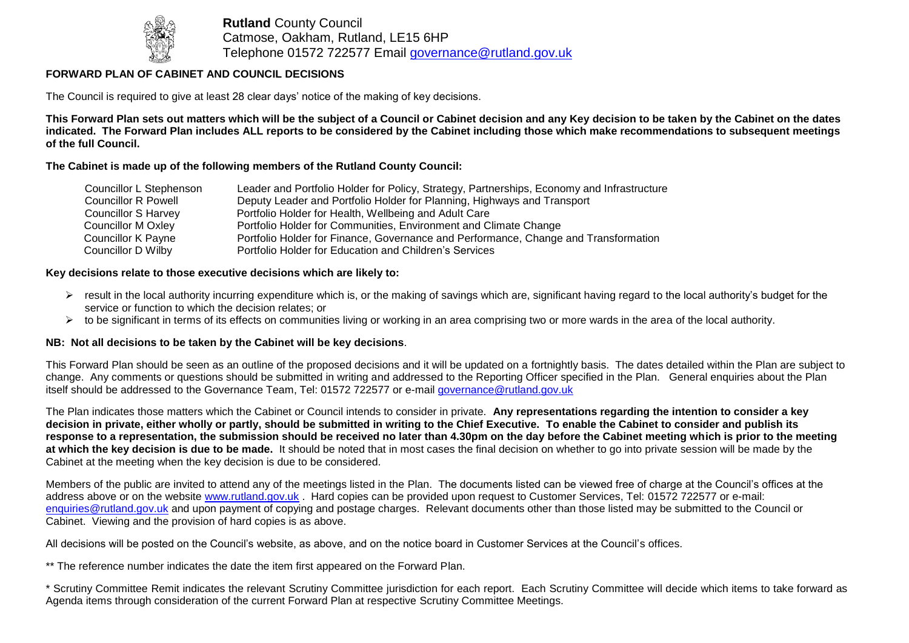

**Rutland** County Council Catmose, Oakham, Rutland, LE15 6HP Telephone 01572 722577 Email [governance@rutland.gov.uk](mailto:governance@rutland.gov.uk)

## **FORWARD PLAN OF CABINET AND COUNCIL DECISIONS**

The Council is required to give at least 28 clear days' notice of the making of key decisions.

**This Forward Plan sets out matters which will be the subject of a Council or Cabinet decision and any Key decision to be taken by the Cabinet on the dates indicated. The Forward Plan includes ALL reports to be considered by the Cabinet including those which make recommendations to subsequent meetings of the full Council.**

#### **The Cabinet is made up of the following members of the Rutland County Council:**

| Councillor L Stephenson    | Leader and Portfolio Holder for Policy, Strategy, Partnerships, Economy and Infrastructure |
|----------------------------|--------------------------------------------------------------------------------------------|
| <b>Councillor R Powell</b> | Deputy Leader and Portfolio Holder for Planning, Highways and Transport                    |
| <b>Councillor S Harvey</b> | Portfolio Holder for Health, Wellbeing and Adult Care                                      |
| Councillor M Oxley         | Portfolio Holder for Communities, Environment and Climate Change                           |
| Councillor K Payne         | Portfolio Holder for Finance, Governance and Performance, Change and Transformation        |
| Councillor D Wilby         | Portfolio Holder for Education and Children's Services                                     |

#### **Key decisions relate to those executive decisions which are likely to:**

- $\triangleright$  result in the local authority incurring expenditure which is, or the making of savings which are, significant having regard to the local authority's budget for the service or function to which the decision relates; or
- $\triangleright$  to be significant in terms of its effects on communities living or working in an area comprising two or more wards in the area of the local authority.

### **NB: Not all decisions to be taken by the Cabinet will be key decisions**.

This Forward Plan should be seen as an outline of the proposed decisions and it will be updated on a fortnightly basis. The dates detailed within the Plan are subject to change. Any comments or questions should be submitted in writing and addressed to the Reporting Officer specified in the Plan. General enquiries about the Plan itself should be addressed to the Governance Team, Tel: 01572 722577 or e-mail [governance@rutland.gov.uk](mailto:governance@rutland.gov.uk)

The Plan indicates those matters which the Cabinet or Council intends to consider in private. **Any representations regarding the intention to consider a key decision in private, either wholly or partly, should be submitted in writing to the Chief Executive. To enable the Cabinet to consider and publish its response to a representation, the submission should be received no later than 4.30pm on the day before the Cabinet meeting which is prior to the meeting at which the key decision is due to be made.** It should be noted that in most cases the final decision on whether to go into private session will be made by the Cabinet at the meeting when the key decision is due to be considered.

Members of the public are invited to attend any of the meetings listed in the Plan. The documents listed can be viewed free of charge at the Council's offices at the address above or on the website [www.rutland.gov.uk](http://www.rutland.gov.uk/) . Hard copies can be provided upon request to Customer Services, Tel: 01572 722577 or e-mail: [enquiries@rutland.gov.uk](mailto:enquiries@rutland.gov.uk) and upon payment of copying and postage charges. Relevant documents other than those listed may be submitted to the Council or Cabinet. Viewing and the provision of hard copies is as above.

All decisions will be posted on the Council's website, as above, and on the notice board in Customer Services at the Council's offices.

\*\* The reference number indicates the date the item first appeared on the Forward Plan.

\* Scrutiny Committee Remit indicates the relevant Scrutiny Committee jurisdiction for each report. Each Scrutiny Committee will decide which items to take forward as Agenda items through consideration of the current Forward Plan at respective Scrutiny Committee Meetings.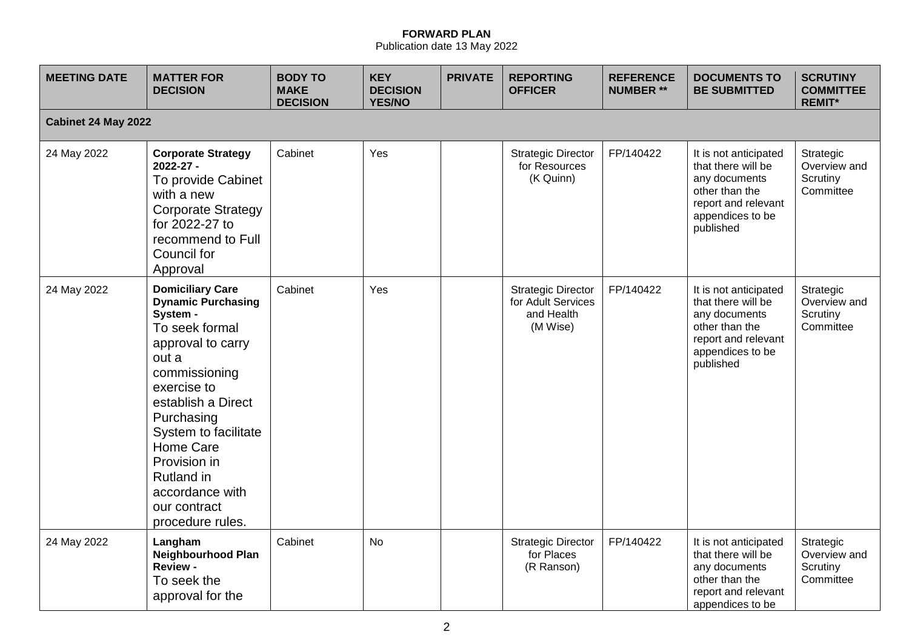# **FORWARD PLAN**

Publication date 13 May 2022

| <b>MEETING DATE</b> | <b>MATTER FOR</b><br><b>DECISION</b>                                                                                                                                                                                                                                                                                  | <b>BODY TO</b><br><b>MAKE</b><br><b>DECISION</b> | <b>KEY</b><br><b>DECISION</b><br><b>YES/NO</b> | <b>PRIVATE</b> | <b>REPORTING</b><br><b>OFFICER</b>                                        | <b>REFERENCE</b><br><b>NUMBER **</b> | <b>DOCUMENTS TO</b><br><b>BE SUBMITTED</b>                                                                                             | <b>SCRUTINY</b><br><b>COMMITTEE</b><br><b>REMIT*</b> |
|---------------------|-----------------------------------------------------------------------------------------------------------------------------------------------------------------------------------------------------------------------------------------------------------------------------------------------------------------------|--------------------------------------------------|------------------------------------------------|----------------|---------------------------------------------------------------------------|--------------------------------------|----------------------------------------------------------------------------------------------------------------------------------------|------------------------------------------------------|
| Cabinet 24 May 2022 |                                                                                                                                                                                                                                                                                                                       |                                                  |                                                |                |                                                                           |                                      |                                                                                                                                        |                                                      |
| 24 May 2022         | <b>Corporate Strategy</b><br>2022-27 -<br>To provide Cabinet<br>with a new<br><b>Corporate Strategy</b><br>for 2022-27 to<br>recommend to Full<br>Council for<br>Approval                                                                                                                                             | Cabinet                                          | Yes                                            |                | <b>Strategic Director</b><br>for Resources<br>(K Quinn)                   | FP/140422                            | It is not anticipated<br>that there will be<br>any documents<br>other than the<br>report and relevant<br>appendices to be<br>published | Strategic<br>Overview and<br>Scrutiny<br>Committee   |
| 24 May 2022         | <b>Domiciliary Care</b><br><b>Dynamic Purchasing</b><br>System -<br>To seek formal<br>approval to carry<br>out a<br>commissioning<br>exercise to<br>establish a Direct<br>Purchasing<br>System to facilitate<br>Home Care<br>Provision in<br><b>Rutland</b> in<br>accordance with<br>our contract<br>procedure rules. | Cabinet                                          | Yes                                            |                | <b>Strategic Director</b><br>for Adult Services<br>and Health<br>(M Wise) | FP/140422                            | It is not anticipated<br>that there will be<br>any documents<br>other than the<br>report and relevant<br>appendices to be<br>published | Strategic<br>Overview and<br>Scrutiny<br>Committee   |
| 24 May 2022         | Langham<br><b>Neighbourhood Plan</b><br><b>Review -</b><br>To seek the<br>approval for the                                                                                                                                                                                                                            | Cabinet                                          | <b>No</b>                                      |                | <b>Strategic Director</b><br>for Places<br>(R Ranson)                     | FP/140422                            | It is not anticipated<br>that there will be<br>any documents<br>other than the<br>report and relevant<br>appendices to be              | Strategic<br>Overview and<br>Scrutiny<br>Committee   |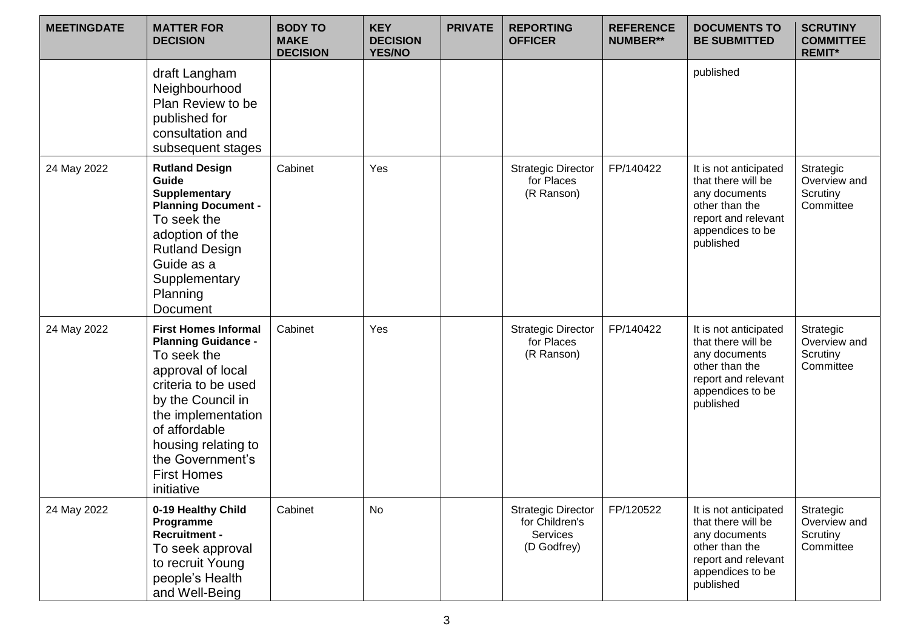| <b>MEETINGDATE</b> | <b>MATTER FOR</b><br><b>DECISION</b>                                                                                                                                                                                                                            | <b>BODY TO</b><br><b>MAKE</b><br><b>DECISION</b> | <b>KEY</b><br><b>DECISION</b><br><b>YES/NO</b> | <b>PRIVATE</b> | <b>REPORTING</b><br><b>OFFICER</b>                                            | <b>REFERENCE</b><br><b>NUMBER**</b> | <b>DOCUMENTS TO</b><br><b>BE SUBMITTED</b>                                                                                             | <b>SCRUTINY</b><br><b>COMMITTEE</b><br><b>REMIT*</b> |
|--------------------|-----------------------------------------------------------------------------------------------------------------------------------------------------------------------------------------------------------------------------------------------------------------|--------------------------------------------------|------------------------------------------------|----------------|-------------------------------------------------------------------------------|-------------------------------------|----------------------------------------------------------------------------------------------------------------------------------------|------------------------------------------------------|
|                    | draft Langham<br>Neighbourhood<br>Plan Review to be<br>published for<br>consultation and<br>subsequent stages                                                                                                                                                   |                                                  |                                                |                |                                                                               |                                     | published                                                                                                                              |                                                      |
| 24 May 2022        | <b>Rutland Design</b><br>Guide<br><b>Supplementary</b><br><b>Planning Document -</b><br>To seek the<br>adoption of the<br><b>Rutland Design</b><br>Guide as a<br>Supplementary<br>Planning<br>Document                                                          | Cabinet                                          | Yes                                            |                | <b>Strategic Director</b><br>for Places<br>(R Ranson)                         | FP/140422                           | It is not anticipated<br>that there will be<br>any documents<br>other than the<br>report and relevant<br>appendices to be<br>published | Strategic<br>Overview and<br>Scrutiny<br>Committee   |
| 24 May 2022        | <b>First Homes Informal</b><br><b>Planning Guidance -</b><br>To seek the<br>approval of local<br>criteria to be used<br>by the Council in<br>the implementation<br>of affordable<br>housing relating to<br>the Government's<br><b>First Homes</b><br>initiative | Cabinet                                          | Yes                                            |                | <b>Strategic Director</b><br>for Places<br>(R Ranson)                         | FP/140422                           | It is not anticipated<br>that there will be<br>any documents<br>other than the<br>report and relevant<br>appendices to be<br>published | Strategic<br>Overview and<br>Scrutiny<br>Committee   |
| 24 May 2022        | 0-19 Healthy Child<br>Programme<br><b>Recruitment -</b><br>To seek approval<br>to recruit Young<br>people's Health<br>and Well-Being                                                                                                                            | Cabinet                                          | No                                             |                | <b>Strategic Director</b><br>for Children's<br><b>Services</b><br>(D Godfrey) | FP/120522                           | It is not anticipated<br>that there will be<br>any documents<br>other than the<br>report and relevant<br>appendices to be<br>published | Strategic<br>Overview and<br>Scrutiny<br>Committee   |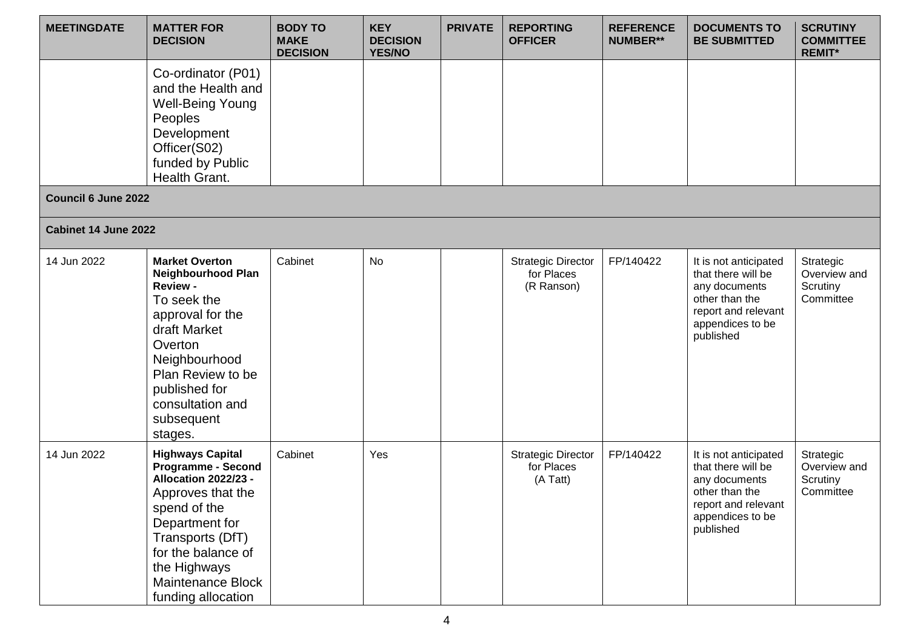| <b>MEETINGDATE</b>         | <b>MATTER FOR</b><br><b>DECISION</b>                                                                                                                                                                                                     | <b>BODY TO</b><br><b>MAKE</b><br><b>DECISION</b> | <b>KEY</b><br><b>DECISION</b><br><b>YES/NO</b> | <b>PRIVATE</b> | <b>REPORTING</b><br><b>OFFICER</b>                    | <b>REFERENCE</b><br><b>NUMBER**</b> | <b>DOCUMENTS TO</b><br><b>BE SUBMITTED</b>                                                                                             | <b>SCRUTINY</b><br><b>COMMITTEE</b><br><b>REMIT*</b> |
|----------------------------|------------------------------------------------------------------------------------------------------------------------------------------------------------------------------------------------------------------------------------------|--------------------------------------------------|------------------------------------------------|----------------|-------------------------------------------------------|-------------------------------------|----------------------------------------------------------------------------------------------------------------------------------------|------------------------------------------------------|
|                            | Co-ordinator (P01)<br>and the Health and<br><b>Well-Being Young</b><br>Peoples<br>Development<br>Officer(S02)<br>funded by Public<br>Health Grant.                                                                                       |                                                  |                                                |                |                                                       |                                     |                                                                                                                                        |                                                      |
| <b>Council 6 June 2022</b> |                                                                                                                                                                                                                                          |                                                  |                                                |                |                                                       |                                     |                                                                                                                                        |                                                      |
| Cabinet 14 June 2022       |                                                                                                                                                                                                                                          |                                                  |                                                |                |                                                       |                                     |                                                                                                                                        |                                                      |
| 14 Jun 2022                | <b>Market Overton</b><br><b>Neighbourhood Plan</b><br><b>Review -</b><br>To seek the<br>approval for the<br>draft Market<br>Overton<br>Neighbourhood<br>Plan Review to be<br>published for<br>consultation and<br>subsequent<br>stages.  | Cabinet                                          | <b>No</b>                                      |                | <b>Strategic Director</b><br>for Places<br>(R Ranson) | FP/140422                           | It is not anticipated<br>that there will be<br>any documents<br>other than the<br>report and relevant<br>appendices to be<br>published | Strategic<br>Overview and<br>Scrutiny<br>Committee   |
| 14 Jun 2022                | <b>Highways Capital</b><br><b>Programme - Second</b><br>Allocation 2022/23 -<br>Approves that the<br>spend of the<br>Department for<br>Transports (DfT)<br>for the balance of<br>the Highways<br>Maintenance Block<br>funding allocation | Cabinet                                          | Yes                                            |                | <b>Strategic Director</b><br>for Places<br>(A Tatt)   | FP/140422                           | It is not anticipated<br>that there will be<br>any documents<br>other than the<br>report and relevant<br>appendices to be<br>published | Strategic<br>Overview and<br>Scrutiny<br>Committee   |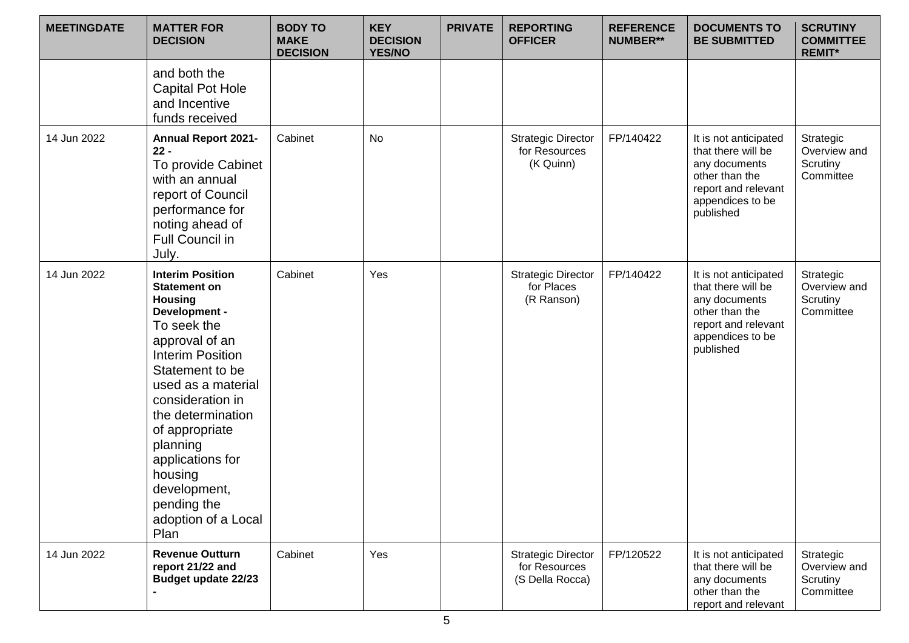| <b>MEETINGDATE</b> | <b>MATTER FOR</b><br><b>DECISION</b>                                                                                                                                                                                                                                                                                                                       | <b>BODY TO</b><br><b>MAKE</b><br><b>DECISION</b> | <b>KEY</b><br><b>DECISION</b><br><b>YES/NO</b> | <b>PRIVATE</b> | <b>REPORTING</b><br><b>OFFICER</b>                            | <b>REFERENCE</b><br><b>NUMBER**</b> | <b>DOCUMENTS TO</b><br><b>BE SUBMITTED</b>                                                                                             | <b>SCRUTINY</b><br><b>COMMITTEE</b><br><b>REMIT*</b> |
|--------------------|------------------------------------------------------------------------------------------------------------------------------------------------------------------------------------------------------------------------------------------------------------------------------------------------------------------------------------------------------------|--------------------------------------------------|------------------------------------------------|----------------|---------------------------------------------------------------|-------------------------------------|----------------------------------------------------------------------------------------------------------------------------------------|------------------------------------------------------|
|                    | and both the<br><b>Capital Pot Hole</b><br>and Incentive<br>funds received                                                                                                                                                                                                                                                                                 |                                                  |                                                |                |                                                               |                                     |                                                                                                                                        |                                                      |
| 14 Jun 2022        | <b>Annual Report 2021-</b><br>$22 -$<br>To provide Cabinet<br>with an annual<br>report of Council<br>performance for<br>noting ahead of<br><b>Full Council in</b><br>July.                                                                                                                                                                                 | Cabinet                                          | No                                             |                | <b>Strategic Director</b><br>for Resources<br>(K Quinn)       | FP/140422                           | It is not anticipated<br>that there will be<br>any documents<br>other than the<br>report and relevant<br>appendices to be<br>published | Strategic<br>Overview and<br>Scrutiny<br>Committee   |
| 14 Jun 2022        | <b>Interim Position</b><br><b>Statement on</b><br><b>Housing</b><br>Development -<br>To seek the<br>approval of an<br><b>Interim Position</b><br>Statement to be<br>used as a material<br>consideration in<br>the determination<br>of appropriate<br>planning<br>applications for<br>housing<br>development,<br>pending the<br>adoption of a Local<br>Plan | Cabinet                                          | Yes                                            |                | <b>Strategic Director</b><br>for Places<br>(R Ranson)         | FP/140422                           | It is not anticipated<br>that there will be<br>any documents<br>other than the<br>report and relevant<br>appendices to be<br>published | Strategic<br>Overview and<br>Scrutiny<br>Committee   |
| 14 Jun 2022        | <b>Revenue Outturn</b><br>report 21/22 and<br><b>Budget update 22/23</b>                                                                                                                                                                                                                                                                                   | Cabinet                                          | Yes                                            |                | <b>Strategic Director</b><br>for Resources<br>(S Della Rocca) | FP/120522                           | It is not anticipated<br>that there will be<br>any documents<br>other than the<br>report and relevant                                  | Strategic<br>Overview and<br>Scrutiny<br>Committee   |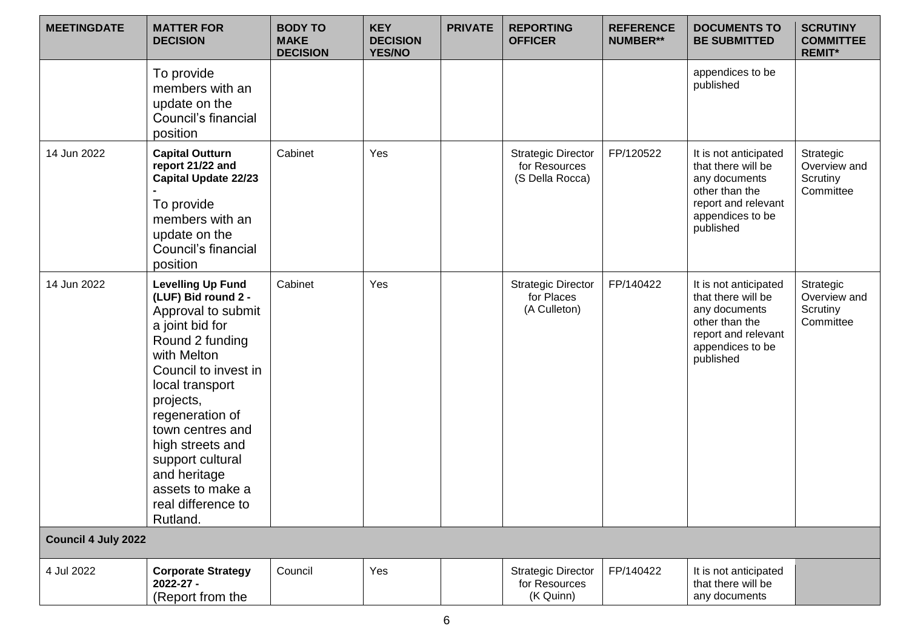| <b>MEETINGDATE</b>         | <b>MATTER FOR</b><br><b>DECISION</b>                                                                                                                                                                                                                                                                                                    | <b>BODY TO</b><br><b>MAKE</b><br><b>DECISION</b> | <b>KEY</b><br><b>DECISION</b><br><b>YES/NO</b> | <b>PRIVATE</b> | <b>REPORTING</b><br><b>OFFICER</b>                            | <b>REFERENCE</b><br><b>NUMBER**</b> | <b>DOCUMENTS TO</b><br><b>BE SUBMITTED</b>                                                                                             | <b>SCRUTINY</b><br><b>COMMITTEE</b><br><b>REMIT*</b> |
|----------------------------|-----------------------------------------------------------------------------------------------------------------------------------------------------------------------------------------------------------------------------------------------------------------------------------------------------------------------------------------|--------------------------------------------------|------------------------------------------------|----------------|---------------------------------------------------------------|-------------------------------------|----------------------------------------------------------------------------------------------------------------------------------------|------------------------------------------------------|
|                            | To provide<br>members with an<br>update on the<br>Council's financial<br>position                                                                                                                                                                                                                                                       |                                                  |                                                |                |                                                               |                                     | appendices to be<br>published                                                                                                          |                                                      |
| 14 Jun 2022                | <b>Capital Outturn</b><br>report 21/22 and<br><b>Capital Update 22/23</b><br>To provide<br>members with an<br>update on the<br>Council's financial<br>position                                                                                                                                                                          | Cabinet                                          | Yes                                            |                | <b>Strategic Director</b><br>for Resources<br>(S Della Rocca) | FP/120522                           | It is not anticipated<br>that there will be<br>any documents<br>other than the<br>report and relevant<br>appendices to be<br>published | Strategic<br>Overview and<br>Scrutiny<br>Committee   |
| 14 Jun 2022                | <b>Levelling Up Fund</b><br>(LUF) Bid round 2 -<br>Approval to submit<br>a joint bid for<br>Round 2 funding<br>with Melton<br>Council to invest in<br>local transport<br>projects,<br>regeneration of<br>town centres and<br>high streets and<br>support cultural<br>and heritage<br>assets to make a<br>real difference to<br>Rutland. | Cabinet                                          | Yes                                            |                | <b>Strategic Director</b><br>for Places<br>(A Culleton)       | FP/140422                           | It is not anticipated<br>that there will be<br>any documents<br>other than the<br>report and relevant<br>appendices to be<br>published | Strategic<br>Overview and<br>Scrutiny<br>Committee   |
| <b>Council 4 July 2022</b> |                                                                                                                                                                                                                                                                                                                                         |                                                  |                                                |                |                                                               |                                     |                                                                                                                                        |                                                      |
| 4 Jul 2022                 | <b>Corporate Strategy</b><br>2022-27 -<br>(Report from the                                                                                                                                                                                                                                                                              | Council                                          | Yes                                            |                | <b>Strategic Director</b><br>for Resources<br>(K Quinn)       | FP/140422                           | It is not anticipated<br>that there will be<br>any documents                                                                           |                                                      |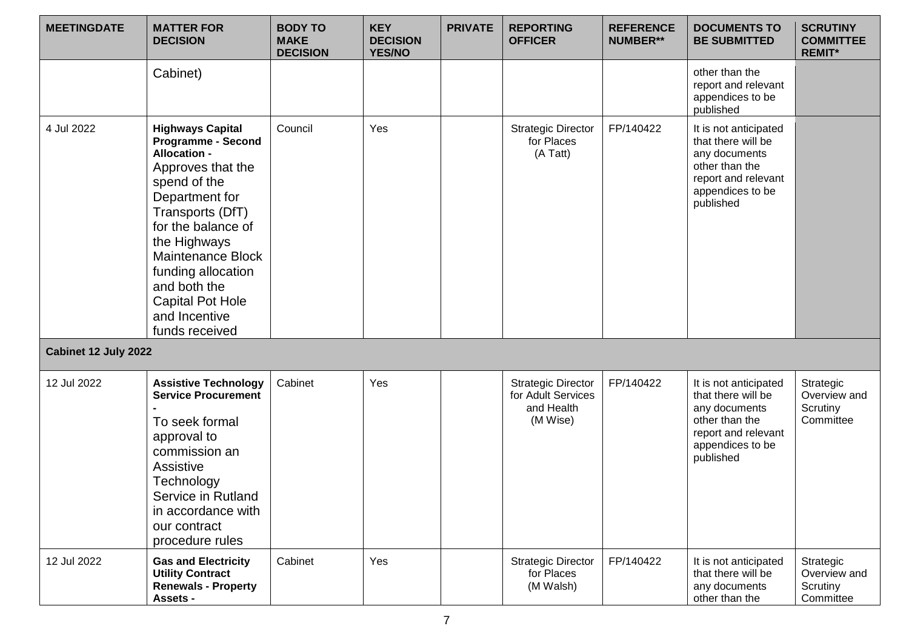| <b>MEETINGDATE</b>   | <b>MATTER FOR</b><br><b>DECISION</b>                                                                                                                                                                                                                                                                                  | <b>BODY TO</b><br><b>MAKE</b><br><b>DECISION</b> | <b>KEY</b><br><b>DECISION</b><br><b>YES/NO</b> | <b>PRIVATE</b> | <b>REPORTING</b><br><b>OFFICER</b>                                        | <b>REFERENCE</b><br><b>NUMBER**</b> | <b>DOCUMENTS TO</b><br><b>BE SUBMITTED</b>                                                                                             | <b>SCRUTINY</b><br><b>COMMITTEE</b><br><b>REMIT*</b> |
|----------------------|-----------------------------------------------------------------------------------------------------------------------------------------------------------------------------------------------------------------------------------------------------------------------------------------------------------------------|--------------------------------------------------|------------------------------------------------|----------------|---------------------------------------------------------------------------|-------------------------------------|----------------------------------------------------------------------------------------------------------------------------------------|------------------------------------------------------|
|                      | Cabinet)                                                                                                                                                                                                                                                                                                              |                                                  |                                                |                |                                                                           |                                     | other than the<br>report and relevant<br>appendices to be<br>published                                                                 |                                                      |
| 4 Jul 2022           | <b>Highways Capital</b><br><b>Programme - Second</b><br><b>Allocation -</b><br>Approves that the<br>spend of the<br>Department for<br>Transports (DfT)<br>for the balance of<br>the Highways<br>Maintenance Block<br>funding allocation<br>and both the<br><b>Capital Pot Hole</b><br>and Incentive<br>funds received | Council                                          | Yes                                            |                | <b>Strategic Director</b><br>for Places<br>(A Tatt)                       | FP/140422                           | It is not anticipated<br>that there will be<br>any documents<br>other than the<br>report and relevant<br>appendices to be<br>published |                                                      |
| Cabinet 12 July 2022 |                                                                                                                                                                                                                                                                                                                       |                                                  |                                                |                |                                                                           |                                     |                                                                                                                                        |                                                      |
| 12 Jul 2022          | <b>Assistive Technology</b><br><b>Service Procurement</b><br>To seek formal<br>approval to<br>commission an<br>Assistive<br>Technology<br>Service in Rutland<br>in accordance with<br>our contract<br>procedure rules                                                                                                 | Cabinet                                          | Yes                                            |                | <b>Strategic Director</b><br>for Adult Services<br>and Health<br>(M Wise) | FP/140422                           | It is not anticipated<br>that there will be<br>any documents<br>other than the<br>report and relevant<br>appendices to be<br>published | Strategic<br>Overview and<br>Scrutiny<br>Committee   |
| 12 Jul 2022          | <b>Gas and Electricity</b><br><b>Utility Contract</b><br><b>Renewals - Property</b><br>Assets -                                                                                                                                                                                                                       | Cabinet                                          | Yes                                            |                | <b>Strategic Director</b><br>for Places<br>(M Walsh)                      | FP/140422                           | It is not anticipated<br>that there will be<br>any documents<br>other than the                                                         | Strategic<br>Overview and<br>Scrutiny<br>Committee   |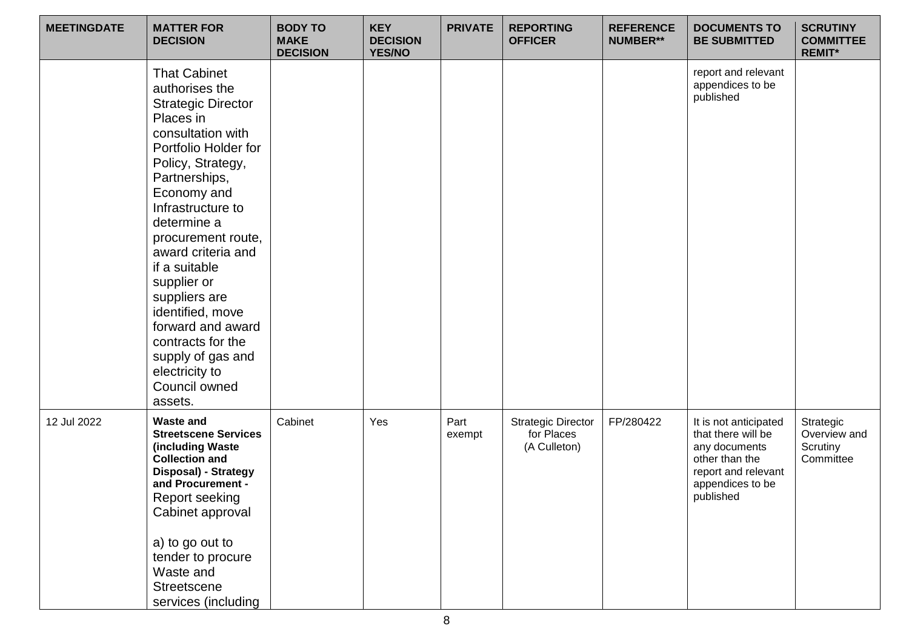| <b>MEETINGDATE</b> | <b>MATTER FOR</b><br><b>DECISION</b>                                                                                                                                                                                                                                                                                                                                                                                                                | <b>BODY TO</b><br><b>MAKE</b><br><b>DECISION</b> | <b>KEY</b><br><b>DECISION</b><br><b>YES/NO</b> | <b>PRIVATE</b> | <b>REPORTING</b><br><b>OFFICER</b>                      | <b>REFERENCE</b><br><b>NUMBER**</b> | <b>DOCUMENTS TO</b><br><b>BE SUBMITTED</b>                                                                                             | <b>SCRUTINY</b><br><b>COMMITTEE</b><br><b>REMIT*</b> |
|--------------------|-----------------------------------------------------------------------------------------------------------------------------------------------------------------------------------------------------------------------------------------------------------------------------------------------------------------------------------------------------------------------------------------------------------------------------------------------------|--------------------------------------------------|------------------------------------------------|----------------|---------------------------------------------------------|-------------------------------------|----------------------------------------------------------------------------------------------------------------------------------------|------------------------------------------------------|
|                    | <b>That Cabinet</b><br>authorises the<br><b>Strategic Director</b><br>Places in<br>consultation with<br>Portfolio Holder for<br>Policy, Strategy,<br>Partnerships,<br>Economy and<br>Infrastructure to<br>determine a<br>procurement route,<br>award criteria and<br>if a suitable<br>supplier or<br>suppliers are<br>identified, move<br>forward and award<br>contracts for the<br>supply of gas and<br>electricity to<br>Council owned<br>assets. |                                                  |                                                |                |                                                         |                                     | report and relevant<br>appendices to be<br>published                                                                                   |                                                      |
| 12 Jul 2022        | <b>Waste and</b><br><b>Streetscene Services</b><br>(including Waste<br><b>Collection and</b><br>Disposal) - Strategy<br>and Procurement -<br><b>Report seeking</b><br>Cabinet approval<br>a) to go out to<br>tender to procure<br>Waste and<br><b>Streetscene</b><br>services (including                                                                                                                                                            | Cabinet                                          | Yes                                            | Part<br>exempt | <b>Strategic Director</b><br>for Places<br>(A Culleton) | FP/280422                           | It is not anticipated<br>that there will be<br>any documents<br>other than the<br>report and relevant<br>appendices to be<br>published | Strategic<br>Overview and<br>Scrutiny<br>Committee   |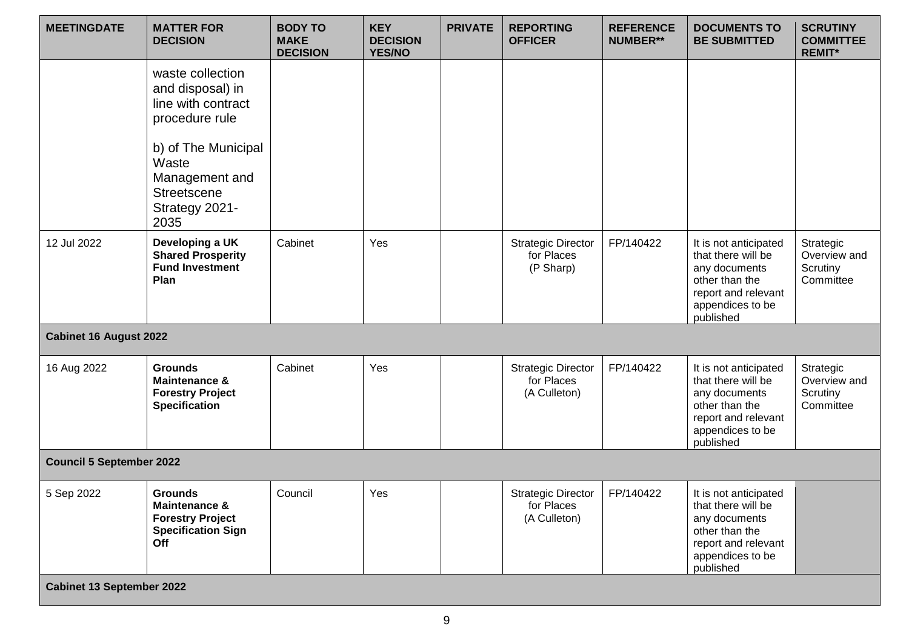| <b>MEETINGDATE</b>               | <b>MATTER FOR</b><br><b>DECISION</b>                                                                                                                                           | <b>BODY TO</b><br><b>MAKE</b><br><b>DECISION</b> | <b>KEY</b><br><b>DECISION</b><br><b>YES/NO</b> | <b>PRIVATE</b> | <b>REPORTING</b><br><b>OFFICER</b>                      | <b>REFERENCE</b><br><b>NUMBER**</b> | <b>DOCUMENTS TO</b><br><b>BE SUBMITTED</b>                                                                                             | <b>SCRUTINY</b><br><b>COMMITTEE</b><br><b>REMIT*</b> |
|----------------------------------|--------------------------------------------------------------------------------------------------------------------------------------------------------------------------------|--------------------------------------------------|------------------------------------------------|----------------|---------------------------------------------------------|-------------------------------------|----------------------------------------------------------------------------------------------------------------------------------------|------------------------------------------------------|
|                                  | waste collection<br>and disposal) in<br>line with contract<br>procedure rule<br>b) of The Municipal<br>Waste<br>Management and<br><b>Streetscene</b><br>Strategy 2021-<br>2035 |                                                  |                                                |                |                                                         |                                     |                                                                                                                                        |                                                      |
| 12 Jul 2022                      | Developing a UK<br><b>Shared Prosperity</b><br><b>Fund Investment</b><br>Plan                                                                                                  | Cabinet                                          | Yes                                            |                | <b>Strategic Director</b><br>for Places<br>(P Sharp)    | FP/140422                           | It is not anticipated<br>that there will be<br>any documents<br>other than the<br>report and relevant<br>appendices to be<br>published | Strategic<br>Overview and<br>Scrutiny<br>Committee   |
| <b>Cabinet 16 August 2022</b>    |                                                                                                                                                                                |                                                  |                                                |                |                                                         |                                     |                                                                                                                                        |                                                      |
| 16 Aug 2022                      | <b>Grounds</b><br><b>Maintenance &amp;</b><br><b>Forestry Project</b><br><b>Specification</b>                                                                                  | Cabinet                                          | Yes                                            |                | <b>Strategic Director</b><br>for Places<br>(A Culleton) | FP/140422                           | It is not anticipated<br>that there will be<br>any documents<br>other than the<br>report and relevant<br>appendices to be<br>published | Strategic<br>Overview and<br>Scrutiny<br>Committee   |
| <b>Council 5 September 2022</b>  |                                                                                                                                                                                |                                                  |                                                |                |                                                         |                                     |                                                                                                                                        |                                                      |
| 5 Sep 2022                       | <b>Grounds</b><br>Maintenance &<br><b>Forestry Project</b><br><b>Specification Sign</b><br>Off                                                                                 | Council                                          | Yes                                            |                | <b>Strategic Director</b><br>for Places<br>(A Culleton) | FP/140422                           | It is not anticipated<br>that there will be<br>any documents<br>other than the<br>report and relevant<br>appendices to be<br>published |                                                      |
| <b>Cabinet 13 September 2022</b> |                                                                                                                                                                                |                                                  |                                                |                |                                                         |                                     |                                                                                                                                        |                                                      |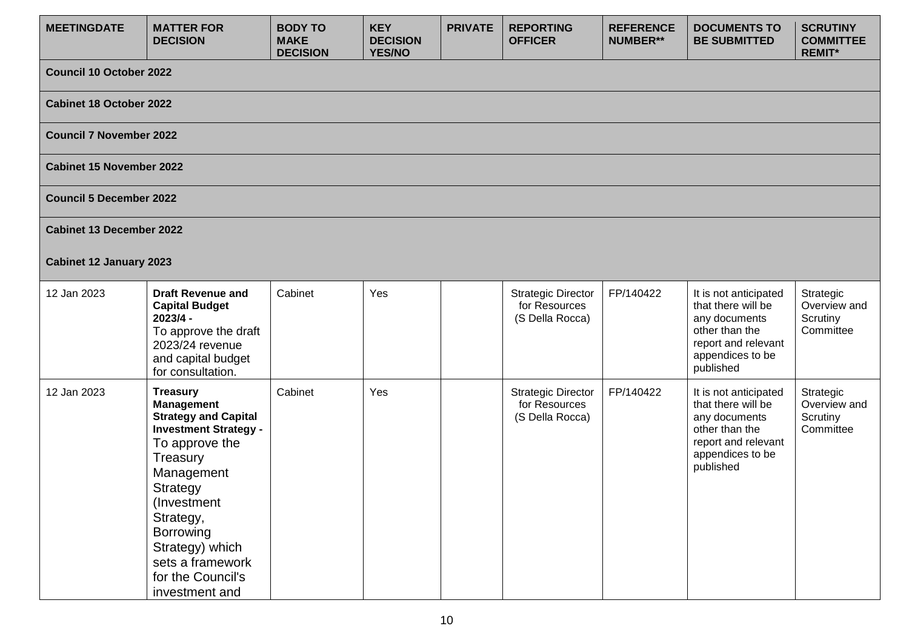| <b>MEETINGDATE</b>              | <b>MATTER FOR</b><br><b>DECISION</b>                                                                                                                                                                                                                                               | <b>BODY TO</b><br><b>MAKE</b><br><b>DECISION</b> | <b>KEY</b><br><b>DECISION</b><br><b>YES/NO</b> | <b>PRIVATE</b> | <b>REPORTING</b><br><b>OFFICER</b>                            | <b>REFERENCE</b><br><b>NUMBER**</b> | <b>DOCUMENTS TO</b><br><b>BE SUBMITTED</b>                                                                                             | <b>SCRUTINY</b><br><b>COMMITTEE</b><br><b>REMIT*</b> |
|---------------------------------|------------------------------------------------------------------------------------------------------------------------------------------------------------------------------------------------------------------------------------------------------------------------------------|--------------------------------------------------|------------------------------------------------|----------------|---------------------------------------------------------------|-------------------------------------|----------------------------------------------------------------------------------------------------------------------------------------|------------------------------------------------------|
| <b>Council 10 October 2022</b>  |                                                                                                                                                                                                                                                                                    |                                                  |                                                |                |                                                               |                                     |                                                                                                                                        |                                                      |
| <b>Cabinet 18 October 2022</b>  |                                                                                                                                                                                                                                                                                    |                                                  |                                                |                |                                                               |                                     |                                                                                                                                        |                                                      |
| <b>Council 7 November 2022</b>  |                                                                                                                                                                                                                                                                                    |                                                  |                                                |                |                                                               |                                     |                                                                                                                                        |                                                      |
| <b>Cabinet 15 November 2022</b> |                                                                                                                                                                                                                                                                                    |                                                  |                                                |                |                                                               |                                     |                                                                                                                                        |                                                      |
| <b>Council 5 December 2022</b>  |                                                                                                                                                                                                                                                                                    |                                                  |                                                |                |                                                               |                                     |                                                                                                                                        |                                                      |
| <b>Cabinet 13 December 2022</b> |                                                                                                                                                                                                                                                                                    |                                                  |                                                |                |                                                               |                                     |                                                                                                                                        |                                                      |
| <b>Cabinet 12 January 2023</b>  |                                                                                                                                                                                                                                                                                    |                                                  |                                                |                |                                                               |                                     |                                                                                                                                        |                                                      |
| 12 Jan 2023                     | <b>Draft Revenue and</b><br><b>Capital Budget</b><br>$2023/4 -$<br>To approve the draft<br>2023/24 revenue<br>and capital budget<br>for consultation.                                                                                                                              | Cabinet                                          | Yes                                            |                | <b>Strategic Director</b><br>for Resources<br>(S Della Rocca) | FP/140422                           | It is not anticipated<br>that there will be<br>any documents<br>other than the<br>report and relevant<br>appendices to be<br>published | Strategic<br>Overview and<br>Scrutiny<br>Committee   |
| 12 Jan 2023                     | <b>Treasury</b><br><b>Management</b><br><b>Strategy and Capital</b><br><b>Investment Strategy -</b><br>To approve the<br>Treasury<br>Management<br>Strategy<br>(Investment<br>Strategy,<br>Borrowing<br>Strategy) which<br>sets a framework<br>for the Council's<br>investment and | Cabinet                                          | Yes                                            |                | <b>Strategic Director</b><br>for Resources<br>(S Della Rocca) | FP/140422                           | It is not anticipated<br>that there will be<br>any documents<br>other than the<br>report and relevant<br>appendices to be<br>published | Strategic<br>Overview and<br>Scrutiny<br>Committee   |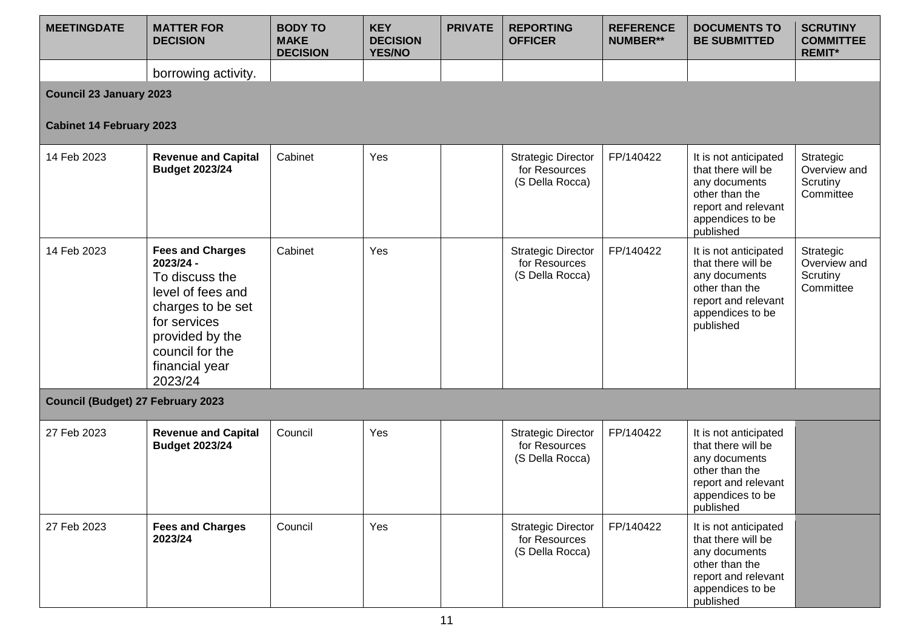| <b>MEETINGDATE</b>                       | <b>MATTER FOR</b><br><b>DECISION</b>                                                                                                                                                | <b>BODY TO</b><br><b>MAKE</b><br><b>DECISION</b> | <b>KEY</b><br><b>DECISION</b><br><b>YES/NO</b> | <b>PRIVATE</b> | <b>REPORTING</b><br><b>OFFICER</b>                            | <b>REFERENCE</b><br><b>NUMBER**</b> | <b>DOCUMENTS TO</b><br><b>BE SUBMITTED</b>                                                                                             | <b>SCRUTINY</b><br><b>COMMITTEE</b><br><b>REMIT*</b> |  |  |  |  |
|------------------------------------------|-------------------------------------------------------------------------------------------------------------------------------------------------------------------------------------|--------------------------------------------------|------------------------------------------------|----------------|---------------------------------------------------------------|-------------------------------------|----------------------------------------------------------------------------------------------------------------------------------------|------------------------------------------------------|--|--|--|--|
|                                          | borrowing activity.                                                                                                                                                                 |                                                  |                                                |                |                                                               |                                     |                                                                                                                                        |                                                      |  |  |  |  |
|                                          | <b>Council 23 January 2023</b>                                                                                                                                                      |                                                  |                                                |                |                                                               |                                     |                                                                                                                                        |                                                      |  |  |  |  |
| <b>Cabinet 14 February 2023</b>          |                                                                                                                                                                                     |                                                  |                                                |                |                                                               |                                     |                                                                                                                                        |                                                      |  |  |  |  |
| 14 Feb 2023                              | <b>Revenue and Capital</b><br><b>Budget 2023/24</b>                                                                                                                                 | Cabinet                                          | Yes                                            |                | <b>Strategic Director</b><br>for Resources<br>(S Della Rocca) | FP/140422                           | It is not anticipated<br>that there will be<br>any documents<br>other than the<br>report and relevant<br>appendices to be<br>published | Strategic<br>Overview and<br>Scrutiny<br>Committee   |  |  |  |  |
| 14 Feb 2023                              | <b>Fees and Charges</b><br>2023/24 -<br>To discuss the<br>level of fees and<br>charges to be set<br>for services<br>provided by the<br>council for the<br>financial year<br>2023/24 | Cabinet                                          | Yes                                            |                | <b>Strategic Director</b><br>for Resources<br>(S Della Rocca) | FP/140422                           | It is not anticipated<br>that there will be<br>any documents<br>other than the<br>report and relevant<br>appendices to be<br>published | Strategic<br>Overview and<br>Scrutiny<br>Committee   |  |  |  |  |
| <b>Council (Budget) 27 February 2023</b> |                                                                                                                                                                                     |                                                  |                                                |                |                                                               |                                     |                                                                                                                                        |                                                      |  |  |  |  |
| 27 Feb 2023                              | <b>Revenue and Capital</b><br><b>Budget 2023/24</b>                                                                                                                                 | Council                                          | Yes                                            |                | <b>Strategic Director</b><br>for Resources<br>(S Della Rocca) | FP/140422                           | It is not anticipated<br>that there will be<br>any documents<br>other than the<br>report and relevant<br>appendices to be<br>published |                                                      |  |  |  |  |
| 27 Feb 2023                              | <b>Fees and Charges</b><br>2023/24                                                                                                                                                  | Council                                          | Yes                                            |                | <b>Strategic Director</b><br>for Resources<br>(S Della Rocca) | FP/140422                           | It is not anticipated<br>that there will be<br>any documents<br>other than the<br>report and relevant<br>appendices to be<br>published |                                                      |  |  |  |  |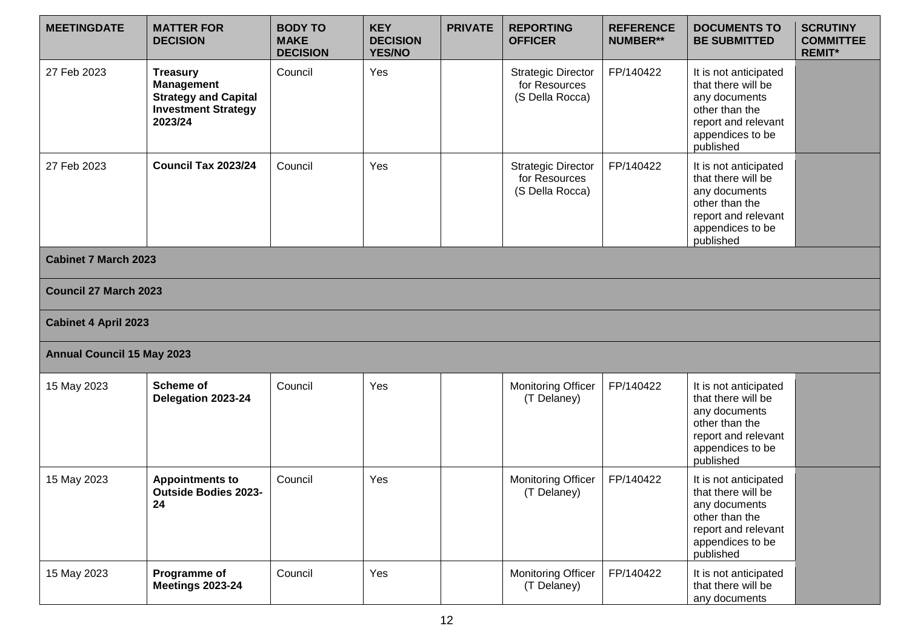| <b>MEETINGDATE</b>                | <b>MATTER FOR</b><br><b>DECISION</b>                                                                         | <b>BODY TO</b><br><b>MAKE</b><br><b>DECISION</b> | <b>KEY</b><br><b>DECISION</b><br><b>YES/NO</b> | <b>PRIVATE</b> | <b>REPORTING</b><br><b>OFFICER</b>                            | <b>REFERENCE</b><br><b>NUMBER**</b> | <b>DOCUMENTS TO</b><br><b>BE SUBMITTED</b>                                                                                             | <b>SCRUTINY</b><br><b>COMMITTEE</b><br><b>REMIT*</b> |
|-----------------------------------|--------------------------------------------------------------------------------------------------------------|--------------------------------------------------|------------------------------------------------|----------------|---------------------------------------------------------------|-------------------------------------|----------------------------------------------------------------------------------------------------------------------------------------|------------------------------------------------------|
| 27 Feb 2023                       | <b>Treasury</b><br><b>Management</b><br><b>Strategy and Capital</b><br><b>Investment Strategy</b><br>2023/24 | Council                                          | Yes                                            |                | <b>Strategic Director</b><br>for Resources<br>(S Della Rocca) | FP/140422                           | It is not anticipated<br>that there will be<br>any documents<br>other than the<br>report and relevant<br>appendices to be<br>published |                                                      |
| 27 Feb 2023                       | Council Tax 2023/24                                                                                          | Council                                          | Yes                                            |                | <b>Strategic Director</b><br>for Resources<br>(S Della Rocca) | FP/140422                           | It is not anticipated<br>that there will be<br>any documents<br>other than the<br>report and relevant<br>appendices to be<br>published |                                                      |
| <b>Cabinet 7 March 2023</b>       |                                                                                                              |                                                  |                                                |                |                                                               |                                     |                                                                                                                                        |                                                      |
| <b>Council 27 March 2023</b>      |                                                                                                              |                                                  |                                                |                |                                                               |                                     |                                                                                                                                        |                                                      |
| <b>Cabinet 4 April 2023</b>       |                                                                                                              |                                                  |                                                |                |                                                               |                                     |                                                                                                                                        |                                                      |
| <b>Annual Council 15 May 2023</b> |                                                                                                              |                                                  |                                                |                |                                                               |                                     |                                                                                                                                        |                                                      |
| 15 May 2023                       | <b>Scheme of</b><br>Delegation 2023-24                                                                       | Council                                          | Yes                                            |                | <b>Monitoring Officer</b><br>(T Delaney)                      | FP/140422                           | It is not anticipated<br>that there will be<br>any documents<br>other than the<br>report and relevant<br>appendices to be<br>published |                                                      |
| 15 May 2023                       | <b>Appointments to</b><br><b>Outside Bodies 2023-</b><br>24                                                  | Council                                          | Yes                                            |                | <b>Monitoring Officer</b><br>(T Delaney)                      | FP/140422                           | It is not anticipated<br>that there will be<br>any documents<br>other than the<br>report and relevant<br>appendices to be<br>published |                                                      |
| 15 May 2023                       | Programme of<br><b>Meetings 2023-24</b>                                                                      | Council                                          | Yes                                            |                | Monitoring Officer<br>(T Delaney)                             | FP/140422                           | It is not anticipated<br>that there will be<br>any documents                                                                           |                                                      |